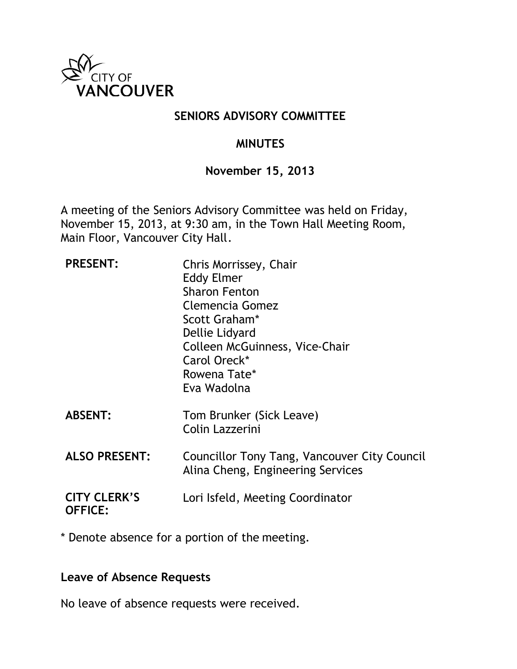

## **SENIORS ADVISORY COMMITTEE**

## **MINUTES**

### **November 15, 2013**

A meeting of the Seniors Advisory Committee was held on Friday, November 15, 2013, at 9:30 am, in the Town Hall Meeting Room, Main Floor, Vancouver City Hall.

| <b>PRESENT:</b>                       | Chris Morrissey, Chair<br><b>Eddy Elmer</b><br><b>Sharon Fenton</b><br>Clemencia Gomez<br>Scott Graham*<br>Dellie Lidyard<br>Colleen McGuinness, Vice-Chair<br>Carol Oreck*<br>Rowena Tate*<br>Eva Wadolna |
|---------------------------------------|------------------------------------------------------------------------------------------------------------------------------------------------------------------------------------------------------------|
| <b>ABSENT:</b>                        | Tom Brunker (Sick Leave)<br>Colin Lazzerini                                                                                                                                                                |
| <b>ALSO PRESENT:</b>                  | Councillor Tony Tang, Vancouver City Council<br>Alina Cheng, Engineering Services                                                                                                                          |
| <b>CITY CLERK'S</b><br><b>OFFICE:</b> | Lori Isfeld, Meeting Coordinator                                                                                                                                                                           |

\* Denote absence for a portion of the meeting.

### **Leave of Absence Requests**

No leave of absence requests were received.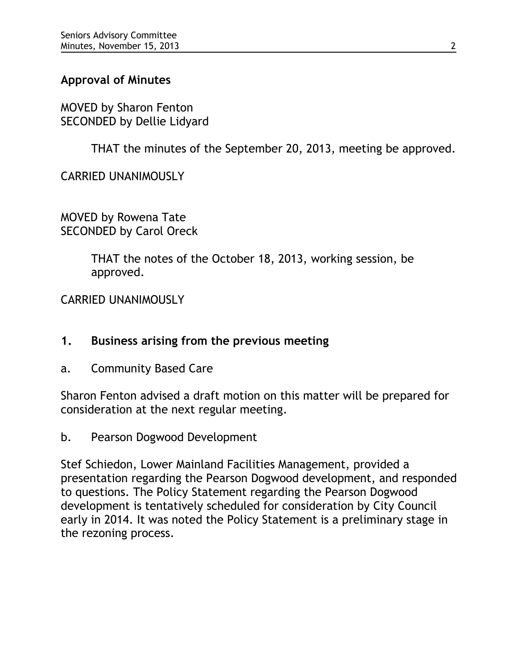# **Approval of Minutes**

MOVED by Sharon Fenton SECONDED by Dellie Lidyard

THAT the minutes of the September 20, 2013, meeting be approved.

CARRIED UNANIMOUSLY

MOVED by Rowena Tate SECONDED by Carol Oreck

> THAT the notes of the October 18, 2013, working session, be approved.

CARRIED UNANIMOUSLY

### **1. Business arising from the previous meeting**

a. Community Based Care

Sharon Fenton advised a draft motion on this matter will be prepared for consideration at the next regular meeting.

b. Pearson Dogwood Development

Stef Schiedon, Lower Mainland Facilities Management, provided a presentation regarding the Pearson Dogwood development, and responded to questions. The Policy Statement regarding the Pearson Dogwood development is tentatively scheduled for consideration by City Council early in 2014. It was noted the Policy Statement is a preliminary stage in the rezoning process.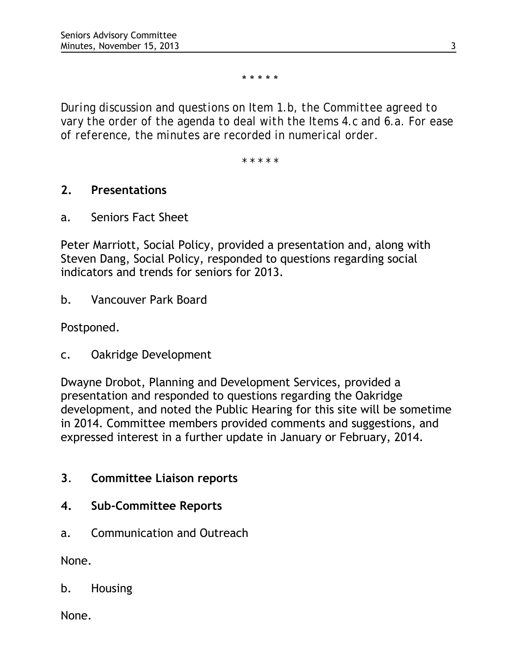\* \* \* \* \*

*During discussion and questions on Item 1.b, the Committee agreed to vary the order of the agenda to deal with the Items 4.c and 6.a. For ease of reference, the minutes are recorded in numerical order.*

*\* \* \* \* \**

### **2. Presentations**

a. Seniors Fact Sheet

Peter Marriott, Social Policy, provided a presentation and, along with Steven Dang, Social Policy, responded to questions regarding social indicators and trends for seniors for 2013.

b. Vancouver Park Board

Postponed.

c. Oakridge Development

Dwayne Drobot, Planning and Development Services, provided a presentation and responded to questions regarding the Oakridge development, and noted the Public Hearing for this site will be sometime in 2014. Committee members provided comments and suggestions, and expressed interest in a further update in January or February, 2014.

- **3**. **Committee Liaison reports**
- **4. Sub-Committee Reports**
- a. Communication and Outreach

None.

b. Housing

None.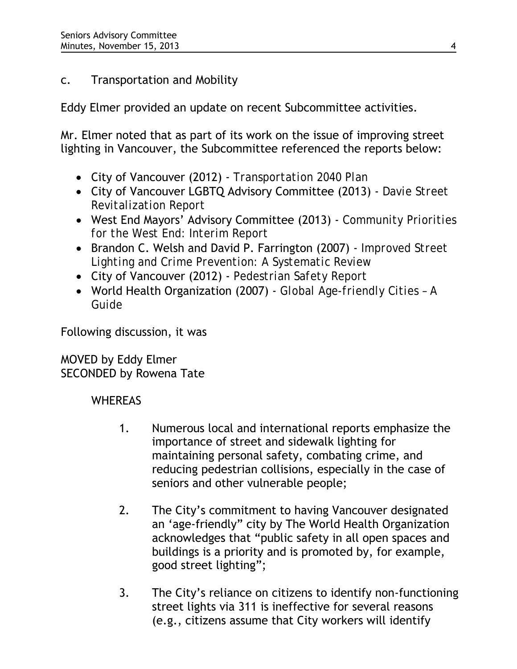# c. Transportation and Mobility

Eddy Elmer provided an update on recent Subcommittee activities.

Mr. Elmer noted that as part of its work on the issue of improving street lighting in Vancouver, the Subcommittee referenced the reports below:

- City of Vancouver (2012) *Transportation 2040 Plan*
- City of Vancouver LGBTQ Advisory Committee (2013) *Davie Street Revitalization Report*
- West End Mayors' Advisory Committee (2013) *Community Priorities for the West End: Interim Report*
- Brandon C. Welsh and David P. Farrington (2007) *Improved Street Lighting and Crime Prevention: A Systematic Review*
- City of Vancouver (2012) *Pedestrian Safety Report*
- World Health Organization (2007) *Global Age-friendly Cities A Guide*

Following discussion, it was

MOVED by Eddy Elmer SECONDED by Rowena Tate

# **WHEREAS**

- 1. Numerous local and international reports emphasize the importance of street and sidewalk lighting for maintaining personal safety, combating crime, and reducing pedestrian collisions, especially in the case of seniors and other vulnerable people;
- 2. The City's commitment to having Vancouver designated an 'age-friendly" city by The World Health Organization acknowledges that "public safety in all open spaces and buildings is a priority and is promoted by, for example, good street lighting";
- 3. The City's reliance on citizens to identify non-functioning street lights via 311 is ineffective for several reasons (e.g., citizens assume that City workers will identify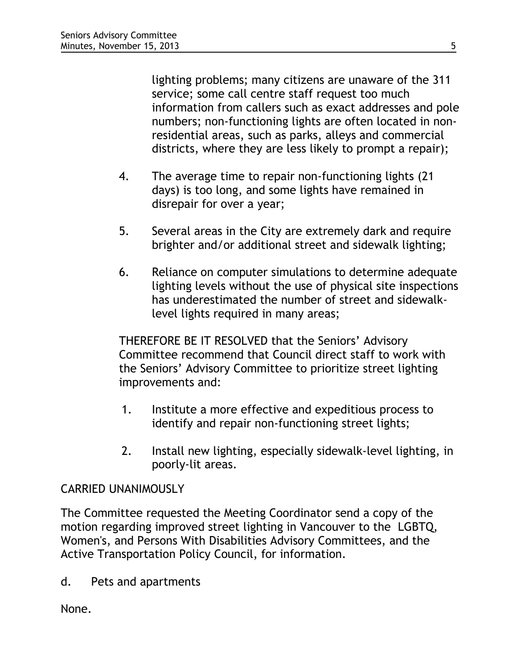lighting problems; many citizens are unaware of the 311 service; some call centre staff request too much information from callers such as exact addresses and pole numbers; non-functioning lights are often located in nonresidential areas, such as parks, alleys and commercial districts, where they are less likely to prompt a repair);

- 4. The average time to repair non-functioning lights (21 days) is too long, and some lights have remained in disrepair for over a year;
- 5. Several areas in the City are extremely dark and require brighter and/or additional street and sidewalk lighting;
- 6. Reliance on computer simulations to determine adequate lighting levels without the use of physical site inspections has underestimated the number of street and sidewalklevel lights required in many areas;

THEREFORE BE IT RESOLVED that the Seniors' Advisory Committee recommend that Council direct staff to work with the Seniors' Advisory Committee to prioritize street lighting improvements and:

- 1. Institute a more effective and expeditious process to identify and repair non-functioning street lights;
- 2. Install new lighting, especially sidewalk-level lighting, in poorly-lit areas.

### CARRIED UNANIMOUSLY

The Committee requested the Meeting Coordinator send a copy of the motion regarding improved street lighting in Vancouver to the LGBTQ, Women's, and Persons With Disabilities Advisory Committees, and the Active Transportation Policy Council, for information.

d. Pets and apartments

None.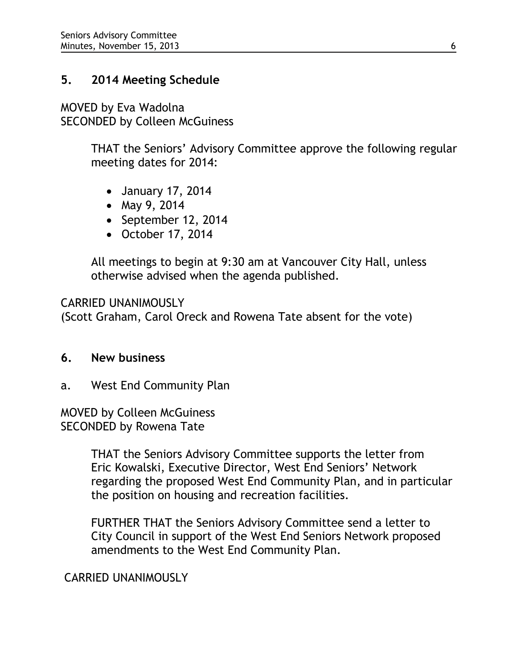## **5. 2014 Meeting Schedule**

MOVED by Eva Wadolna SECONDED by Colleen McGuiness

> THAT the Seniors' Advisory Committee approve the following regular meeting dates for 2014:

- January 17, 2014
- May 9, 2014
- September 12, 2014
- October 17, 2014

All meetings to begin at 9:30 am at Vancouver City Hall, unless otherwise advised when the agenda published.

CARRIED UNANIMOUSLY (Scott Graham, Carol Oreck and Rowena Tate absent for the vote)

### **6. New business**

a. West End Community Plan

MOVED by Colleen McGuiness SECONDED by Rowena Tate

> THAT the Seniors Advisory Committee supports the letter from Eric Kowalski, Executive Director, West End Seniors' Network regarding the proposed West End Community Plan, and in particular the position on housing and recreation facilities.

FURTHER THAT the Seniors Advisory Committee send a letter to City Council in support of the West End Seniors Network proposed amendments to the West End Community Plan.

CARRIED UNANIMOUSLY